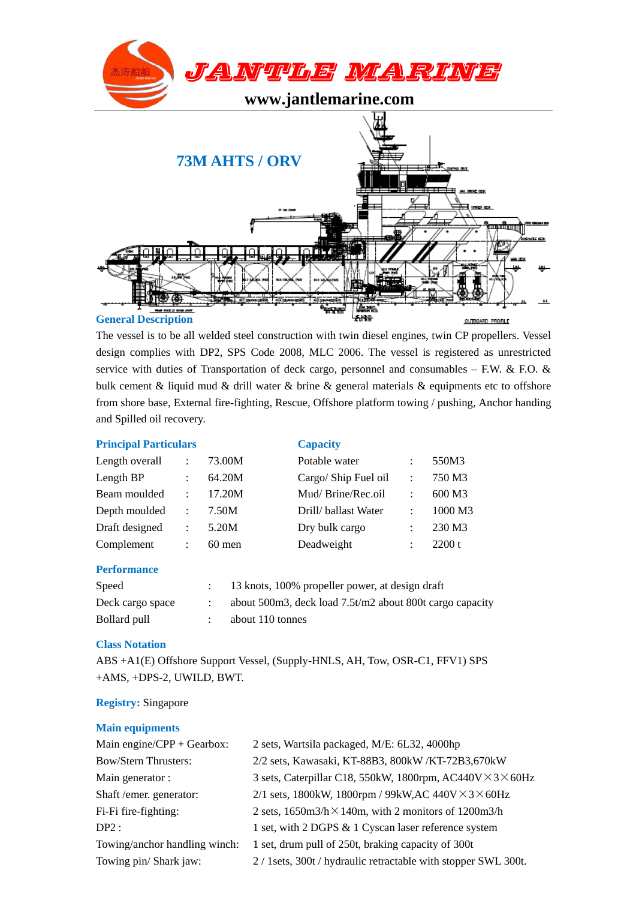

The vessel is to be all welded steel construction with twin diesel engines, twin CP propellers. Vessel design complies with DP2, SPS Code 2008, MLC 2006. The vessel is registered as unrestricted service with duties of Transportation of deck cargo, personnel and consumables – F.W. & F.O. & bulk cement & liquid mud & drill water & brine & general materials & equipments etc to offshore from shore base, External fire-fighting, Rescue, Offshore platform towing / pushing, Anchor handing and Spilled oil recovery.

# **Principal Particulars** Capacity

| Length overall | $\ddot{\phantom{a}}$ | 73.00M   | Potable water        | $\ddot{\cdot}$       | 550M3   |
|----------------|----------------------|----------|----------------------|----------------------|---------|
| Length BP      |                      | 64.20M   | Cargo/ Ship Fuel oil | $\ddot{\phantom{a}}$ | 750 M3  |
| Beam moulded   | $\ddot{\phantom{a}}$ | 17.20M   | Mud/Brine/Rec.oil    | $\ddot{\cdot}$       | 600 M3  |
| Depth moulded  | ÷                    | 7.50M    | Drill/ ballast Water | $\ddot{\cdot}$       | 1000 M3 |
| Draft designed | $\ddot{\cdot}$       | 5.20M    | Dry bulk cargo       | ÷                    | 230 M3  |
| Complement     |                      | $60$ men | Deadweight           |                      | 2200 t  |

## **Performance**

| Speed            | 13 knots, 100% propeller power, at design draft          |
|------------------|----------------------------------------------------------|
| Deck cargo space | about 500m3, deck load 7.5t/m2 about 800t cargo capacity |
| Bollard pull     | about 110 tonnes                                         |

## **Class Notation**

ABS +A1(E) Offshore Support Vessel, (Supply-HNLS, AH, Tow, OSR-C1, FFV1) SPS +AMS, +DPS-2, UWILD, BWT.

## **Registry:** Singapore

## **Main equipments**

| Main engine/ $CPP + Gearbox$ : | 2 sets, Wartsila packaged, M/E: 6L32, 4000hp                           |
|--------------------------------|------------------------------------------------------------------------|
| <b>Bow/Stern Thrusters:</b>    | 2/2 sets, Kawasaki, KT-88B3, 800kW /KT-72B3,670kW                      |
| Main generator :               | 3 sets, Caterpillar C18, 550kW, 1800rpm, $AC440V \times 3 \times 60Hz$ |
| Shaft/emer. generator:         | 2/1 sets, 1800kW, 1800rpm / 99kW, AC 440V $\times$ 3 $\times$ 60Hz     |
| Fi-Fi fire-fighting:           | 2 sets, $1650m3/h \times 140m$ , with 2 monitors of 1200m3/h           |
| DP2:                           | 1 set, with 2 DGPS & 1 Cyscan laser reference system                   |
| Towing/anchor handling winch:  | 1 set, drum pull of 250t, braking capacity of 300t                     |
| Towing pin/ Shark jaw:         | 2 / 1sets, 300t / hydraulic retractable with stopper SWL 300t.         |